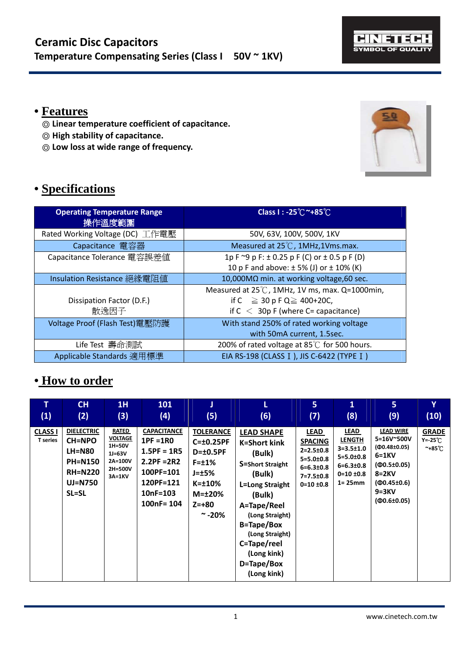

### **• Features**

- ◎ **Linear temperature coefficient of capacitance.**
- ◎ **High stability of capacitance.**
- ◎ **Low loss at wide range of frequency.**



## **• Specifications**

| <b>Operating Temperature Range</b><br>操作溫度範圍 | Class I: -25℃~+85℃                                                                                                              |
|----------------------------------------------|---------------------------------------------------------------------------------------------------------------------------------|
| Rated Working Voltage (DC) 工作電壓              | 50V, 63V, 100V, 500V, 1KV                                                                                                       |
| Capacitance 電容器                              | Measured at 25°C, 1MHz, 1Vms.max.                                                                                               |
| Capacitance Tolerance 電容誤差値                  | 1p F $\approx$ 9 p F: $\pm$ 0.25 p F (C) or $\pm$ 0.5 p F (D)<br>10 p F and above: $\pm$ 5% (J) or $\pm$ 10% (K)                |
| Insulation Resistance 絕緣電阻值                  | 10,000MΩ min. at working voltage, 60 sec.                                                                                       |
| Dissipation Factor (D.F.)<br>散逸因子            | Measured at 25°C, 1MHz, 1V ms, max. Q=1000min,<br>if C $\geq$ 30 p F Q $\geq$ 400+20C,<br>if $C < 30p$ F (where C= capacitance) |
| Voltage Proof (Flash Test)電壓防護               | With stand 250% of rated working voltage<br>with 50mA current, 1.5sec.                                                          |
| Life Test 壽命測試                               | 200% of rated voltage at 85℃ for 500 hours.                                                                                     |
| Applicable Standards 適用標準                    | EIA RS-198 (CLASS I), JIS C-6422 (TYPE I)                                                                                       |

#### **• How to order**

| т                                 | <b>CH</b>                                                                                                          | 1H                                                                                     | 101                                                                                                                         | J                                                                                                                                                           | (6)                                                                                                                                                                                                                                                | 5 <sub>1</sub>                                                                                                                  | 1                                                                                                                            | 5                                                                                                                                                    | Y                                                                 |
|-----------------------------------|--------------------------------------------------------------------------------------------------------------------|----------------------------------------------------------------------------------------|-----------------------------------------------------------------------------------------------------------------------------|-------------------------------------------------------------------------------------------------------------------------------------------------------------|----------------------------------------------------------------------------------------------------------------------------------------------------------------------------------------------------------------------------------------------------|---------------------------------------------------------------------------------------------------------------------------------|------------------------------------------------------------------------------------------------------------------------------|------------------------------------------------------------------------------------------------------------------------------------------------------|-------------------------------------------------------------------|
| (1)                               | (2)                                                                                                                | (3)                                                                                    | (4)                                                                                                                         | (5)                                                                                                                                                         |                                                                                                                                                                                                                                                    | (7)                                                                                                                             | (8)                                                                                                                          | (9)                                                                                                                                                  | (10)                                                              |
| <b>CLASS I</b><br><b>T</b> series | <b>DIELECTRIC</b><br><b>CH=NPO</b><br><b>LH=N80</b><br><b>PH=N150</b><br><b>RH=N220</b><br><b>UJ=N750</b><br>SL=SL | <b>RATED</b><br><b>VOLTAGE</b><br>1H=50V<br>$1J=63V$<br>2A=100V<br>2H=500V<br>$3A=1KV$ | <b>CAPACITANCE</b><br>$1PF = 1R0$<br>$1.5PF = 1R5$<br>$2.2PF = 2R2$<br>100PF=101<br>120PF=121<br>$10nF = 103$<br>100nF= 104 | <b>TOLERANCE</b><br>$C = \pm 0.25$ PF<br>$D = \pm 0.5$ PF<br>$F = \pm 1\%$<br>$J = \pm 5\%$<br>$K = \pm 10\%$<br>$M = \pm 20\%$<br>$Z = +80$<br>$\sim$ -20% | <b>LEAD SHAPE</b><br><b>K=Short kink</b><br>(Bulk)<br><b>S=Short Straight</b><br>(Bulk)<br>L=Long Straight<br>(Bulk)<br>A=Tape/Reel<br>(Long Straight)<br>B=Tape/Box<br>(Long Straight)<br>C=Tape/reel<br>(Long kink)<br>D=Tape/Box<br>(Long kink) | <b>LEAD</b><br><b>SPACING</b><br>$2 = 2.5 \pm 0.8$<br>$5 = 5.0 \pm 0.8$<br>$6=6.3\pm0.8$<br>$7 = 7.5 \pm 0.8$<br>$0=10 \pm 0.8$ | <b>LEAD</b><br><b>LENGTH</b><br>$3 = 3.5 \pm 1.0$<br>$5 = 5.0 \pm 0.8$<br>$6 = 6.3 \pm 0.8$<br>$0=10 \pm 0.8$<br>$1 = 25$ mm | <b>LEAD WIRE</b><br>5=16V~500V<br>$(40.48 \pm 0.05)$<br>$6=1KV$<br>$(40.5 \pm 0.05)$<br>$8=2KV$<br>$(40.45 \pm 0.6)$<br>$9=3KV$<br>$(40.6 \pm 0.05)$ | <b>GRADE</b><br>$Y = -25^{\circ}C$<br>$~^{\sim}$ +85 $^{\circ}$ C |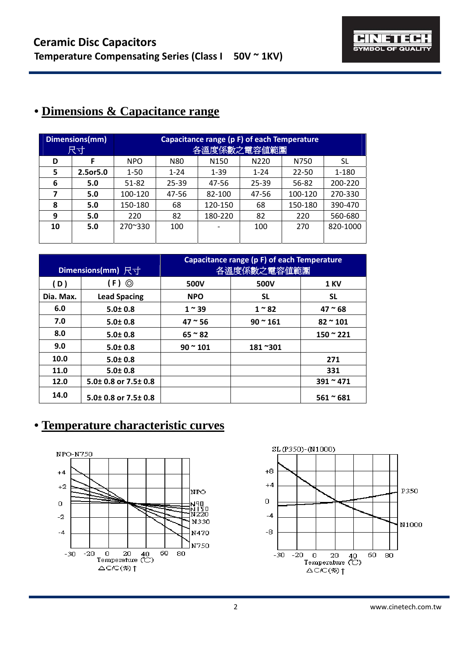### **• Dimensions & Capacitance range**

|    | Capacitance range (p F) of each Temperature<br>Dimensions(mm)<br>各溫度係數之電容值範圍<br>尺寸 |            |           |                  |          |           |          |
|----|------------------------------------------------------------------------------------|------------|-----------|------------------|----------|-----------|----------|
| D  |                                                                                    | <b>NPO</b> | N80       | N <sub>150</sub> | N220     | N750      | SL       |
| 5  | 2.5or5.0                                                                           | $1 - 50$   | $1 - 24$  | $1 - 39$         | $1 - 24$ | $22 - 50$ | 1-180    |
| 6  | 5.0                                                                                | 51-82      | $25 - 39$ | 47-56            | 25-39    | 56-82     | 200-220  |
| 7  | 5.0                                                                                | 100-120    | 47-56     | 82-100           | 47-56    | 100-120   | 270-330  |
| 8  | 5.0                                                                                | 150-180    | 68        | 120-150          | 68       | 150-180   | 390-470  |
| 9  | 5.0                                                                                | 220        | 82        | 180-220          | 82       | 220       | 560-680  |
| 10 | 5.0                                                                                | 270~330    | 100       |                  | 100      | 270       | 820-1000 |
|    |                                                                                    |            |           |                  |          |           |          |

|           | Dimensions(mm) 尺寸            | Capacitance range (p F) of each Temperature<br>各溫度係數之電容値範圍 |              |                 |  |
|-----------|------------------------------|------------------------------------------------------------|--------------|-----------------|--|
| (D)       | $(F)$ $\odot$                | 500V                                                       | 500V         | <b>1 KV</b>     |  |
| Dia. Max. | <b>Lead Spacing</b>          | <b>NPO</b>                                                 | SL.          | <b>SL</b>       |  |
| 6.0       | $5.0 \pm 0.8$                | $1^{\sim}39$                                               | $1~^\sim 82$ | $47^{\circ}68$  |  |
| 7.0       | $5.0 \pm 0.8$                | $47^{\circ}56$                                             | $90 - 161$   | $82 \times 101$ |  |
| 8.0       | $5.0 \pm 0.8$                | $65 \approx 82$                                            |              | $150 - 221$     |  |
| 9.0       | $5.0 \pm 0.8$                | $90^{\circ} 101$                                           | 181~301      |                 |  |
| 10.0      | $5.0 \pm 0.8$                |                                                            |              | 271             |  |
| 11.0      | $5.0 \pm 0.8$                |                                                            |              | 331             |  |
| 12.0      | 5.0± 0.8 or 7.5± 0.8         |                                                            |              | $391 - 471$     |  |
| 14.0      | $5.0\pm0.8$ or 7.5 $\pm$ 0.8 |                                                            |              | $561 - 681$     |  |

## **• Temperature characteristic curves**



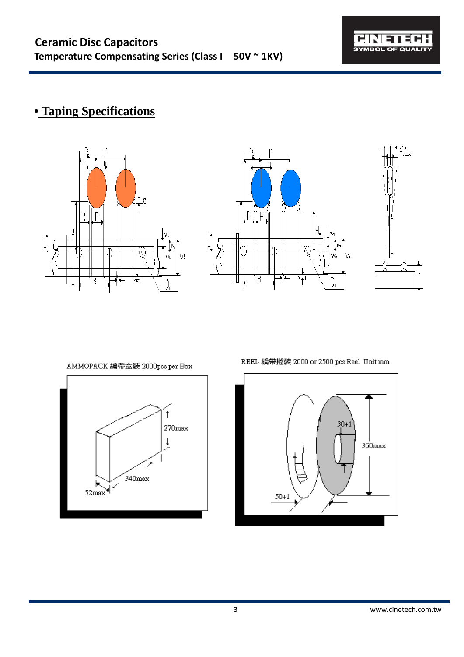

 $\prod_{\text{max}}$ 

 $\mathfrak{t}$ 

# **• Taping Specifications**





AMMOPACK 編帶盒裝 2000pcs per Box



REEL 編帶捲裝 2000 or 2500 pcs Reel Unit mm